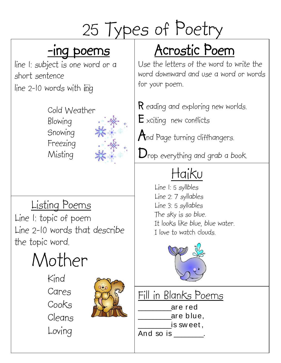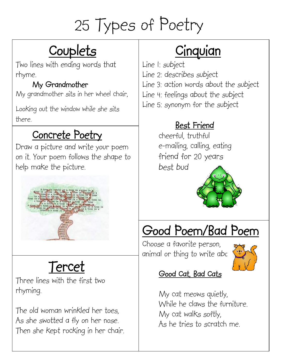# **Couplets**

Two lines with ending words that rhyme.

#### My Grandmother

My grandmother sits in her wheel chair,

Looking out the window while she sits there.

## Concrete Poetry

Draw a picture and write your poem on it. Your poem follows the shape to help make the picture.



## Tercet

Three lines with the first two rhyming.

The old woman wrinkled her toes, As she swotted a fly on her nose. Then she kept rocking in her chair.

# **Cinquian**

Line 1: subject Line 2: describes subject Line 3: action words about the subject Line 4: feelings about the subject Line 5: synonym for the subject

#### Best Friend

cheerful, truthful e-mailing, calling, eating friend for 20 years best bud



# Good Poem/Bad Poem

Choose a favorite person, animal or thing to write abc



#### Good Cat, Bad Cats

My cat meows quietly, While he claws the furniture. My cat walks softly, As he tries to scratch me.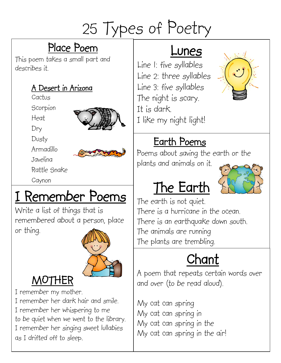## Place Poem

This poem takes a small part and describes it.

#### A Desert in Arizona

Cactus

**Scorpion** 

Heat



Dusty

Armadillo



Javelina

Rattle Snake

Caynon

# I Remember Poems

Write a list of things that is remembered about a person, place or thing.



## MOTHER

I remember my mother.

I remember her dark hair and smile. I remember her whispering to me to be quiet when we went to the library. I remember her singing sweet lullabies as I drifted off to sleep.

## Lunes

Line 1: five syllables Line 2: three syllables Line 3: five syllables The night is scary. It is dark. I like my night light!



## Earth Poems

The Earth

Poems about saving the earth or the plants and animals on it.

The earth is not quiet. There is a hurricane in the ocean. There is an earthquake down south. The animals are running The plants are trembling.

# Chant

A poem that repeats certain words over and over (to be read aloud).

My cat can spring My cat can spring in My cat can spring in the My cat can spring in the air!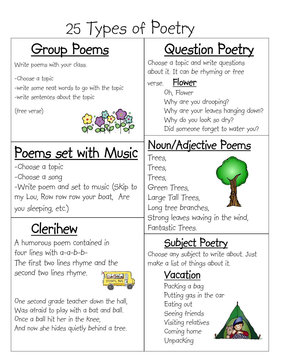# Group Poems

Write poems with your class.

-Choose a topic

-write some neat words to go with the topic -write sentences about the topic

(free verse)



# Poems set with Music

-Choose a topic

-Choose a song

-Write poem and set to music (Skip to my Lou, Row row row your boat, Are you sleeping, etc.)

# Clerihew Fantastic Trees.

A humorous poem contained in four lines with a-a-b-b-The first two lines rhyme and the second two lines rhyme.



One second grade teacher down the hall, Was afraid to play with a bat and ball. Once a ball hit her in the knee, And now she hides quietly behind a tree.

# Question Poetry

Choose a topic and write questions about it. It can be rhyming or free

verse. Flower

Oh, Flower Why are you drooping? Why are your leaves hanging down? Why do you look so dry? Did someone forget to water you?

## Noun/Adjective Poems

Trees,

Trees,

Trees,

Green Trees,

Large Tall Trees,

Long tree branches,

Strong leaves waving in the wind,

## Subject Poetry

Choose any subject to write about. Just make a list of things about it.

## Vacation

Packing a bag Putting gas in the car Eating out Seeing friends Visiting relatives Coming home Unpacking